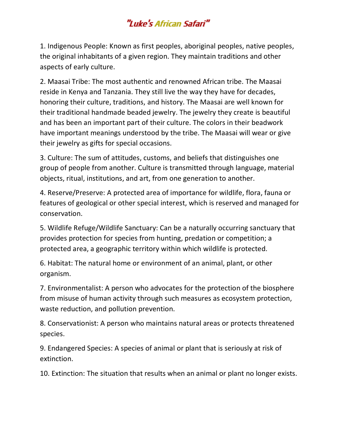## "Luke's African Safari"

1. Indigenous People: Known as first peoples, aboriginal peoples, native peoples, the original inhabitants of a given region. They maintain traditions and other aspects of early culture.

2. Maasai Tribe: The most authentic and renowned African tribe. The Maasai reside in Kenya and Tanzania. They still live the way they have for decades, honoring their culture, traditions, and history. The Maasai are well known for their traditional handmade beaded jewelry. The jewelry they create is beautiful and has been an important part of their culture. The colors in their beadwork have important meanings understood by the tribe. The Maasai will wear or give their jewelry as gifts for special occasions.

3. Culture: The sum of attitudes, customs, and beliefs that distinguishes one group of people from another. Culture is transmitted through language, material objects, ritual, institutions, and art, from one generation to another.

4. Reserve/Preserve: A protected area of importance for wildlife, flora, fauna or features of geological or other special interest, which is reserved and managed for conservation.

5. Wildlife Refuge/Wildlife Sanctuary: Can be a naturally occurring sanctuary that provides protection for species from hunting, predation or competition; a protected area, a geographic territory within which wildlife is protected.

6. Habitat: The natural home or environment of an animal, plant, or other organism.

7. Environmentalist: A person who advocates for the protection of the biosphere from misuse of human activity through such measures as ecosystem protection, waste reduction, and pollution prevention.

8. Conservationist: A person who maintains natural areas or protects threatened species.

9. Endangered Species: A species of animal or plant that is seriously at risk of extinction.

10. Extinction: The situation that results when an animal or plant no longer exists.